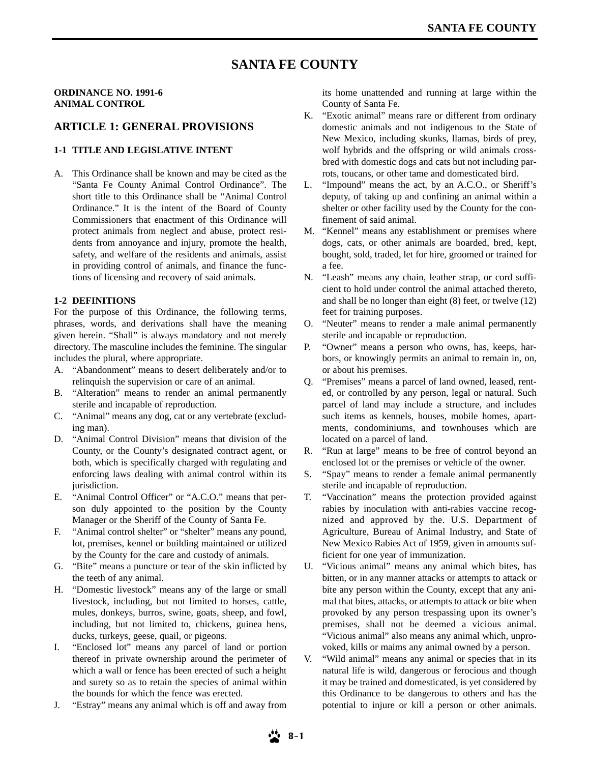# **SANTA FE COUNTY**

### **ORDINANCE NO. 1991-6 ANIMAL CONTROL**

### **ARTICLE 1: GENERAL PROVISIONS**

#### **1-1 TITLE AND LEGISLATIVE INTENT**

A. This Ordinance shall be known and may be cited as the "Santa Fe County Animal Control Ordinance". The short title to this Ordinance shall be "Animal Control Ordinance." It is the intent of the Board of County Commissioners that enactment of this Ordinance will protect animals from neglect and abuse, protect residents from annoyance and injury, promote the health, safety, and welfare of the residents and animals, assist in providing control of animals, and finance the functions of licensing and recovery of said animals.

#### **1-2 DEFINITIONS**

For the purpose of this Ordinance, the following terms, phrases, words, and derivations shall have the meaning given herein. "Shall" is always mandatory and not merely directory. The masculine includes the feminine. The singular includes the plural, where appropriate.

- A. "Abandonment" means to desert deliberately and/or to relinquish the supervision or care of an animal.
- B. "Alteration" means to render an animal permanently sterile and incapable of reproduction.
- C. "Animal" means any dog, cat or any vertebrate (excluding man).
- D. "Animal Control Division" means that division of the County, or the County's designated contract agent, or both, which is specifically charged with regulating and enforcing laws dealing with animal control within its jurisdiction.
- E. "Animal Control Officer" or "A.C.O." means that person duly appointed to the position by the County Manager or the Sheriff of the County of Santa Fe.
- F. "Animal control shelter" or "shelter" means any pound, lot, premises, kennel or building maintained or utilized by the County for the care and custody of animals.
- G. "Bite" means a puncture or tear of the skin inflicted by the teeth of any animal.
- H. "Domestic livestock" means any of the large or small livestock, including, but not limited to horses, cattle, mules, donkeys, burros, swine, goats, sheep, and fowl, including, but not limited to, chickens, guinea hens, ducks, turkeys, geese, quail, or pigeons.
- I. "Enclosed lot" means any parcel of land or portion thereof in private ownership around the perimeter of which a wall or fence has been erected of such a height and surety so as to retain the species of animal within the bounds for which the fence was erected.
- J. "Estray" means any animal which is off and away from

its home unattended and running at large within the County of Santa Fe.

- K. "Exotic animal" means rare or different from ordinary domestic animals and not indigenous to the State of New Mexico, including skunks, llamas, birds of prey, wolf hybrids and the offspring or wild animals crossbred with domestic dogs and cats but not including parrots, toucans, or other tame and domesticated bird.
- L. "Impound" means the act, by an A.C.O., or Sheriff's deputy, of taking up and confining an animal within a shelter or other facility used by the County for the confinement of said animal.
- M. "Kennel" means any establishment or premises where dogs, cats, or other animals are boarded, bred, kept, bought, sold, traded, let for hire, groomed or trained for a fee.
- N. "Leash" means any chain, leather strap, or cord sufficient to hold under control the animal attached thereto, and shall be no longer than eight (8) feet, or twelve (12) feet for training purposes.
- O. "Neuter" means to render a male animal permanently sterile and incapable or reproduction.
- P. "Owner" means a person who owns, has, keeps, harbors, or knowingly permits an animal to remain in, on, or about his premises.
- Q. "Premises" means a parcel of land owned, leased, rented, or controlled by any person, legal or natural. Such parcel of land may include a structure, and includes such items as kennels, houses, mobile homes, apartments, condominiums, and townhouses which are located on a parcel of land.
- R. "Run at large" means to be free of control beyond an enclosed lot or the premises or vehicle of the owner.
- S. "Spay" means to render a female animal permanently sterile and incapable of reproduction.
- T. "Vaccination" means the protection provided against rabies by inoculation with anti-rabies vaccine recognized and approved by the. U.S. Department of Agriculture, Bureau of Animal Industry, and State of New Mexico Rabies Act of 1959, given in amounts sufficient for one year of immunization.
- U. "Vicious animal" means any animal which bites, has bitten, or in any manner attacks or attempts to attack or bite any person within the County, except that any animal that bites, attacks, or attempts to attack or bite when provoked by any person trespassing upon its owner's premises, shall not be deemed a vicious animal. "Vicious animal" also means any animal which, unprovoked, kills or maims any animal owned by a person.
- V. "Wild animal" means any animal or species that in its natural life is wild, dangerous or ferocious and though it may be trained and domesticated, is yet considered by this Ordinance to be dangerous to others and has the potential to injure or kill a person or other animals.

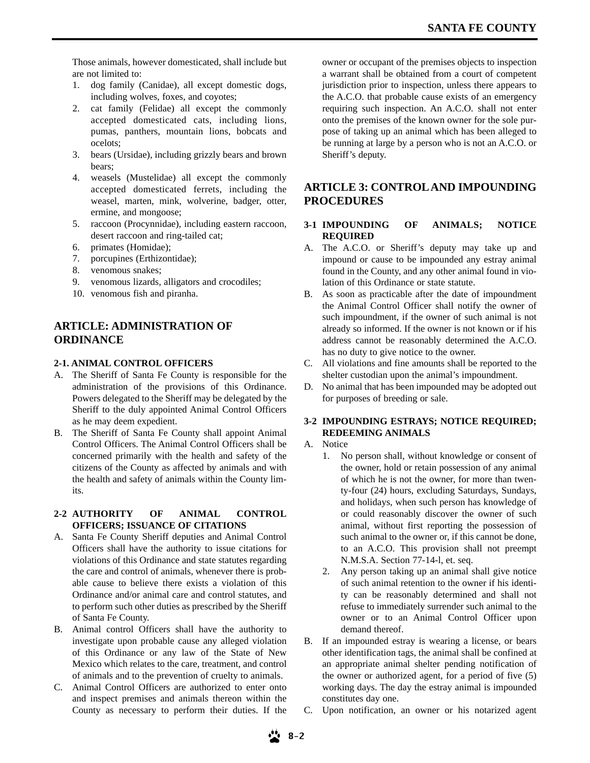Those animals, however domesticated, shall include but are not limited to:

- 1. dog family (Canidae), all except domestic dogs, including wolves, foxes, and coyotes;
- 2. cat family (Felidae) all except the commonly accepted domesticated cats, including lions, pumas, panthers, mountain lions, bobcats and ocelots;
- 3. bears (Ursidae), including grizzly bears and brown bears;
- 4. weasels (Mustelidae) all except the commonly accepted domesticated ferrets, including the weasel, marten, mink, wolverine, badger, otter, ermine, and mongoose;
- 5. raccoon (Procynnidae), including eastern raccoon, desert raccoon and ring-tailed cat;
- 6. primates (Homidae);
- 7. porcupines (Erthizontidae);
- 8. venomous snakes;
- 9. venomous lizards, alligators and crocodiles;
- 10. venomous fish and piranha.

# **ARTICLE: ADMINISTRATION OF ORDINANCE**

### **2-1. ANIMAL CONTROL OFFICERS**

- A. The Sheriff of Santa Fe County is responsible for the administration of the provisions of this Ordinance. Powers delegated to the Sheriff may be delegated by the Sheriff to the duly appointed Animal Control Officers as he may deem expedient.
- B. The Sheriff of Santa Fe County shall appoint Animal Control Officers. The Animal Control Officers shall be concerned primarily with the health and safety of the citizens of the County as affected by animals and with the health and safety of animals within the County limits.

### **2-2 AUTHORITY OF ANIMAL CONTROL OFFICERS; ISSUANCE OF CITATIONS**

- A. Santa Fe County Sheriff deputies and Animal Control Officers shall have the authority to issue citations for violations of this Ordinance and state statutes regarding the care and control of animals, whenever there is probable cause to believe there exists a violation of this Ordinance and/or animal care and control statutes, and to perform such other duties as prescribed by the Sheriff of Santa Fe County.
- B. Animal control Officers shall have the authority to investigate upon probable cause any alleged violation of this Ordinance or any law of the State of New Mexico which relates to the care, treatment, and control of animals and to the prevention of cruelty to animals.
- C. Animal Control Officers are authorized to enter onto and inspect premises and animals thereon within the County as necessary to perform their duties. If the

owner or occupant of the premises objects to inspection a warrant shall be obtained from a court of competent jurisdiction prior to inspection, unless there appears to the A.C.O. that probable cause exists of an emergency requiring such inspection. An A.C.O. shall not enter onto the premises of the known owner for the sole purpose of taking up an animal which has been alleged to be running at large by a person who is not an A.C.O. or Sheriff's deputy.

# **ARTICLE 3: CONTROLAND IMPOUNDING PROCEDURES**

### **3-1 IMPOUNDING OF ANIMALS; NOTICE REQUIRED**

- A. The A.C.O. or Sheriff's deputy may take up and impound or cause to be impounded any estray animal found in the County, and any other animal found in violation of this Ordinance or state statute.
- B. As soon as practicable after the date of impoundment the Animal Control Officer shall notify the owner of such impoundment, if the owner of such animal is not already so informed. If the owner is not known or if his address cannot be reasonably determined the A.C.O. has no duty to give notice to the owner.
- C. All violations and fine amounts shall be reported to the shelter custodian upon the animal's impoundment.
- D. No animal that has been impounded may be adopted out for purposes of breeding or sale.

### **3-2 IMPOUNDING ESTRAYS; NOTICE REQUIRED; REDEEMING ANIMALS**

### A. Notice

- 1. No person shall, without knowledge or consent of the owner, hold or retain possession of any animal of which he is not the owner, for more than twenty-four (24) hours, excluding Saturdays, Sundays, and holidays, when such person has knowledge of or could reasonably discover the owner of such animal, without first reporting the possession of such animal to the owner or, if this cannot be done, to an A.C.O. This provision shall not preempt N.M.S.A. Section 77-14-l, et. seq.
- 2. Any person taking up an animal shall give notice of such animal retention to the owner if his identity can be reasonably determined and shall not refuse to immediately surrender such animal to the owner or to an Animal Control Officer upon demand thereof.
- B. If an impounded estray is wearing a license, or bears other identification tags, the animal shall be confined at an appropriate animal shelter pending notification of the owner or authorized agent, for a period of five (5) working days. The day the estray animal is impounded constitutes day one.
- C. Upon notification, an owner or his notarized agent

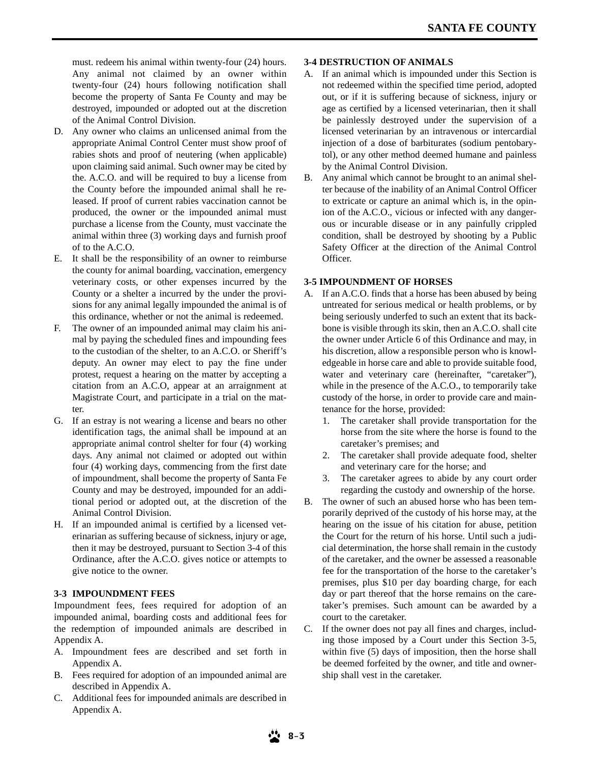must. redeem his animal within twenty-four (24) hours. Any animal not claimed by an owner within twenty-four (24) hours following notification shall become the property of Santa Fe County and may be destroyed, impounded or adopted out at the discretion of the Animal Control Division.

- D. Any owner who claims an unlicensed animal from the appropriate Animal Control Center must show proof of rabies shots and proof of neutering (when applicable) upon claiming said animal. Such owner may be cited by the. A.C.O. and will be required to buy a license from the County before the impounded animal shall he released. If proof of current rabies vaccination cannot be produced, the owner or the impounded animal must purchase a license from the County, must vaccinate the animal within three (3) working days and furnish proof of to the A.C.O.
- E. It shall be the responsibility of an owner to reimburse the county for animal boarding, vaccination, emergency veterinary costs, or other expenses incurred by the County or a shelter a incurred by the under the provisions for any animal legally impounded the animal is of this ordinance, whether or not the animal is redeemed.
- The owner of an impounded animal may claim his animal by paying the scheduled fines and impounding fees to the custodian of the shelter, to an A.C.O. or Sheriff's deputy. An owner may elect to pay the fine under protest, request a hearing on the matter by accepting a citation from an A.C.O, appear at an arraignment at Magistrate Court, and participate in a trial on the matter.
- G. If an estray is not wearing a license and bears no other identification tags, the animal shall be impound at an appropriate animal control shelter for four (4) working days. Any animal not claimed or adopted out within four (4) working days, commencing from the first date of impoundment, shall become the property of Santa Fe County and may be destroyed, impounded for an additional period or adopted out, at the discretion of the Animal Control Division.
- H. If an impounded animal is certified by a licensed veterinarian as suffering because of sickness, injury or age, then it may be destroyed, pursuant to Section 3-4 of this Ordinance, after the A.C.O. gives notice or attempts to give notice to the owner.

### **3-3 IMPOUNDMENT FEES**

Impoundment fees, fees required for adoption of an impounded animal, boarding costs and additional fees for the redemption of impounded animals are described in Appendix A.

- A. Impoundment fees are described and set forth in Appendix A.
- B. Fees required for adoption of an impounded animal are described in Appendix A.
- C. Additional fees for impounded animals are described in Appendix A.

### **3-4 DESTRUCTION OF ANIMALS**

- A. If an animal which is impounded under this Section is not redeemed within the specified time period, adopted out, or if it is suffering because of sickness, injury or age as certified by a licensed veterinarian, then it shall be painlessly destroyed under the supervision of a licensed veterinarian by an intravenous or intercardial injection of a dose of barbiturates (sodium pentobarytol), or any other method deemed humane and painless by the Animal Control Division.
- B. Any animal which cannot be brought to an animal shelter because of the inability of an Animal Control Officer to extricate or capture an animal which is, in the opinion of the A.C.O., vicious or infected with any dangerous or incurable disease or in any painfully crippled condition, shall be destroyed by shooting by a Public Safety Officer at the direction of the Animal Control Officer.

### **3-5 IMPOUNDMENT OF HORSES**

- A. If an A.C.O. finds that a horse has been abused by being untreated for serious medical or health problems, or by being seriously underfed to such an extent that its backbone is visible through its skin, then an A.C.O. shall cite the owner under Article 6 of this Ordinance and may, in his discretion, allow a responsible person who is knowledgeable in horse care and able to provide suitable food, water and veterinary care (hereinafter, "caretaker"), while in the presence of the A.C.O., to temporarily take custody of the horse, in order to provide care and maintenance for the horse, provided:
	- 1. The caretaker shall provide transportation for the horse from the site where the horse is found to the caretaker's premises; and
	- 2. The caretaker shall provide adequate food, shelter and veterinary care for the horse; and
	- 3. The caretaker agrees to abide by any court order regarding the custody and ownership of the horse.
- B. The owner of such an abused horse who has been temporarily deprived of the custody of his horse may, at the hearing on the issue of his citation for abuse, petition the Court for the return of his horse. Until such a judicial determination, the horse shall remain in the custody of the caretaker, and the owner be assessed a reasonable fee for the transportation of the horse to the caretaker's premises, plus \$10 per day boarding charge, for each day or part thereof that the horse remains on the caretaker's premises. Such amount can be awarded by a court to the caretaker.
- C. If the owner does not pay all fines and charges, including those imposed by a Court under this Section 3-5, within five (5) days of imposition, then the horse shall be deemed forfeited by the owner, and title and ownership shall vest in the caretaker.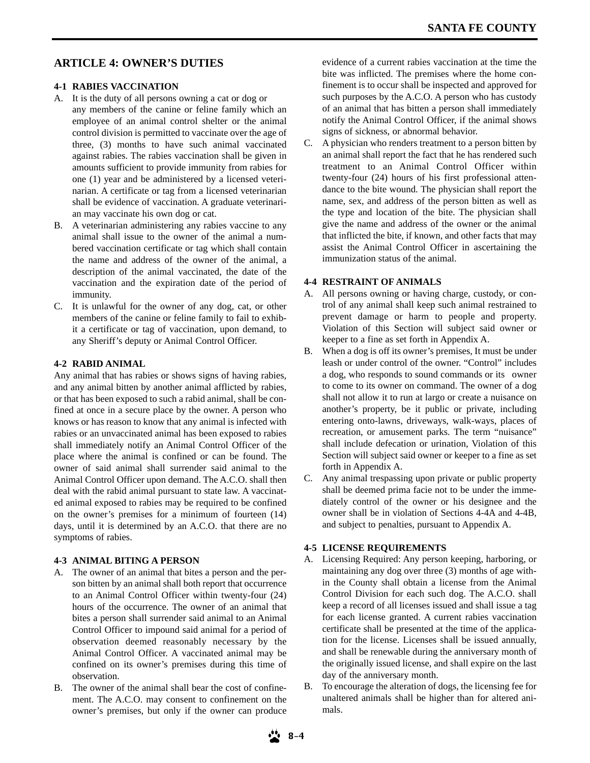# **ARTICLE 4: OWNER'S DUTIES**

### **4-1 RABIES VACCINATION**

- A. It is the duty of all persons owning a cat or dog or any members of the canine or feline family which an employee of an animal control shelter or the animal control division is permitted to vaccinate over the age of three, (3) months to have such animal vaccinated against rabies. The rabies vaccination shall be given in amounts sufficient to provide immunity from rabies for one (1) year and be administered by a licensed veterinarian. A certificate or tag from a licensed veterinarian shall be evidence of vaccination. A graduate veterinarian may vaccinate his own dog or cat.
- B. A veterinarian administering any rabies vaccine to any animal shall issue to the owner of the animal a numbered vaccination certificate or tag which shall contain the name and address of the owner of the animal, a description of the animal vaccinated, the date of the vaccination and the expiration date of the period of immunity.
- C. It is unlawful for the owner of any dog, cat, or other members of the canine or feline family to fail to exhibit a certificate or tag of vaccination, upon demand, to any Sheriff's deputy or Animal Control Officer.

### **4-2 RABID ANIMAL**

Any animal that has rabies or shows signs of having rabies, and any animal bitten by another animal afflicted by rabies, or that has been exposed to such a rabid animal, shall be confined at once in a secure place by the owner. A person who knows or has reason to know that any animal is infected with rabies or an unvaccinated animal has been exposed to rabies shall immediately notify an Animal Control Officer of the place where the animal is confined or can be found. The owner of said animal shall surrender said animal to the Animal Control Officer upon demand. The A.C.O. shall then deal with the rabid animal pursuant to state law. A vaccinated animal exposed to rabies may be required to be confined on the owner's premises for a minimum of fourteen (14) days, until it is determined by an A.C.O. that there are no symptoms of rabies.

### **4-3 ANIMAL BITING A PERSON**

- A. The owner of an animal that bites a person and the person bitten by an animal shall both report that occurrence to an Animal Control Officer within twenty-four (24) hours of the occurrence. The owner of an animal that bites a person shall surrender said animal to an Animal Control Officer to impound said animal for a period of observation deemed reasonably necessary by the Animal Control Officer. A vaccinated animal may be confined on its owner's premises during this time of observation.
- B. The owner of the animal shall bear the cost of confinement. The A.C.O. may consent to confinement on the owner's premises, but only if the owner can produce

evidence of a current rabies vaccination at the time the bite was inflicted. The premises where the home confinement is to occur shall be inspected and approved for such purposes by the A.C.O. A person who has custody of an animal that has bitten a person shall immediately notify the Animal Control Officer, if the animal shows signs of sickness, or abnormal behavior.

C. A physician who renders treatment to a person bitten by an animal shall report the fact that he has rendered such treatment to an Animal Control Officer within twenty-four (24) hours of his first professional attendance to the bite wound. The physician shall report the name, sex, and address of the person bitten as well as the type and location of the bite. The physician shall give the name and address of the owner or the animal that inflicted the bite, if known, and other facts that may assist the Animal Control Officer in ascertaining the immunization status of the animal.

### **4-4 RESTRAINT OF ANIMALS**

- A. All persons owning or having charge, custody, or control of any animal shall keep such animal restrained to prevent damage or harm to people and property. Violation of this Section will subject said owner or keeper to a fine as set forth in Appendix A.
- B. When a dog is off its owner's premises, It must be under leash or under control of the owner. "Control" includes a dog, who responds to sound commands or its owner to come to its owner on command. The owner of a dog shall not allow it to run at largo or create a nuisance on another's property, be it public or private, including entering onto-lawns, driveways, walk-ways, places of recreation, or amusement parks. The term "nuisance" shall include defecation or urination, Violation of this Section will subject said owner or keeper to a fine as set forth in Appendix A.
- C. Any animal trespassing upon private or public property shall be deemed prima facie not to be under the immediately control of the owner or his designee and the owner shall be in violation of Sections 4-4A and 4-4B, and subject to penalties, pursuant to Appendix A.

### **4-5 LICENSE REQUIREMENTS**

- A. Licensing Required: Any person keeping, harboring, or maintaining any dog over three (3) months of age within the County shall obtain a license from the Animal Control Division for each such dog. The A.C.O. shall keep a record of all licenses issued and shall issue a tag for each license granted. A current rabies vaccination certificate shall be presented at the time of the application for the license. Licenses shall be issued annually, and shall be renewable during the anniversary month of the originally issued license, and shall expire on the last day of the anniversary month.
- B. To encourage the alteration of dogs, the licensing fee for unaltered animals shall be higher than for altered animals.

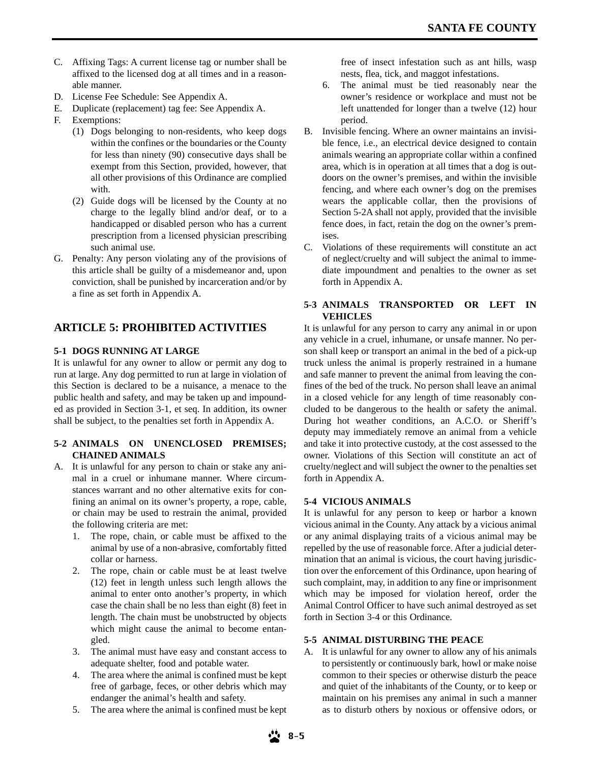- C. Affixing Tags: A current license tag or number shall be affixed to the licensed dog at all times and in a reasonable manner.
- D. License Fee Schedule: See Appendix A.
- E. Duplicate (replacement) tag fee: See Appendix A.
- F. Exemptions:
	- (1) Dogs belonging to non-residents, who keep dogs within the confines or the boundaries or the County for less than ninety (90) consecutive days shall be exempt from this Section, provided, however, that all other provisions of this Ordinance are complied with.
	- (2) Guide dogs will be licensed by the County at no charge to the legally blind and/or deaf, or to a handicapped or disabled person who has a current prescription from a licensed physician prescribing such animal use.
- G. Penalty: Any person violating any of the provisions of this article shall be guilty of a misdemeanor and, upon conviction, shall be punished by incarceration and/or by a fine as set forth in Appendix A.

# **ARTICLE 5: PROHIBITED ACTIVITIES**

### **5-1 DOGS RUNNING AT LARGE**

It is unlawful for any owner to allow or permit any dog to run at large. Any dog permitted to run at large in violation of this Section is declared to be a nuisance, a menace to the public health and safety, and may be taken up and impounded as provided in Section 3-1, et seq. In addition, its owner shall be subject, to the penalties set forth in Appendix A.

### **5-2 ANIMALS ON UNENCLOSED PREMISES; CHAINED ANIMALS**

- A. It is unlawful for any person to chain or stake any animal in a cruel or inhumane manner. Where circumstances warrant and no other alternative exits for confining an animal on its owner's property, a rope, cable, or chain may be used to restrain the animal, provided the following criteria are met:
	- 1. The rope, chain, or cable must be affixed to the animal by use of a non-abrasive, comfortably fitted collar or harness.
	- 2. The rope, chain or cable must be at least twelve (12) feet in length unless such length allows the animal to enter onto another's property, in which case the chain shall be no less than eight (8) feet in length. The chain must be unobstructed by objects which might cause the animal to become entangled.
	- 3. The animal must have easy and constant access to adequate shelter, food and potable water.
	- 4. The area where the animal is confined must be kept free of garbage, feces, or other debris which may endanger the animal's health and safety.
	- 5. The area where the animal is confined must be kept

free of insect infestation such as ant hills, wasp nests, flea, tick, and maggot infestations.

- 6. The animal must be tied reasonably near the owner's residence or workplace and must not be left unattended for longer than a twelve (12) hour period.
- B. Invisible fencing. Where an owner maintains an invisible fence, i.e., an electrical device designed to contain animals wearing an appropriate collar within a confined area, which is in operation at all times that a dog is outdoors on the owner's premises, and within the invisible fencing, and where each owner's dog on the premises wears the applicable collar, then the provisions of Section 5-2A shall not apply, provided that the invisible fence does, in fact, retain the dog on the owner's premises.
- C. Violations of these requirements will constitute an act of neglect/cruelty and will subject the animal to immediate impoundment and penalties to the owner as set forth in Appendix A.

### **5-3 ANIMALS TRANSPORTED OR LEFT IN VEHICLES**

It is unlawful for any person to carry any animal in or upon any vehicle in a cruel, inhumane, or unsafe manner. No person shall keep or transport an animal in the bed of a pick-up truck unless the animal is properly restrained in a humane and safe manner to prevent the animal from leaving the confines of the bed of the truck. No person shall leave an animal in a closed vehicle for any length of time reasonably concluded to be dangerous to the health or safety the animal. During hot weather conditions, an A.C.O. or Sheriff's deputy may immediately remove an animal from a vehicle and take it into protective custody, at the cost assessed to the owner. Violations of this Section will constitute an act of cruelty/neglect and will subject the owner to the penalties set forth in Appendix A.

### **5-4 VICIOUS ANIMALS**

It is unlawful for any person to keep or harbor a known vicious animal in the County. Any attack by a vicious animal or any animal displaying traits of a vicious animal may be repelled by the use of reasonable force. After a judicial determination that an animal is vicious, the court having jurisdiction over the enforcement of this Ordinance, upon hearing of such complaint, may, in addition to any fine or imprisonment which may be imposed for violation hereof, order the Animal Control Officer to have such animal destroyed as set forth in Section 3-4 or this Ordinance.

### **5-5 ANIMAL DISTURBING THE PEACE**

A. It is unlawful for any owner to allow any of his animals to persistently or continuously bark, howl or make noise common to their species or otherwise disturb the peace and quiet of the inhabitants of the County, or to keep or maintain on his premises any animal in such a manner as to disturb others by noxious or offensive odors, or

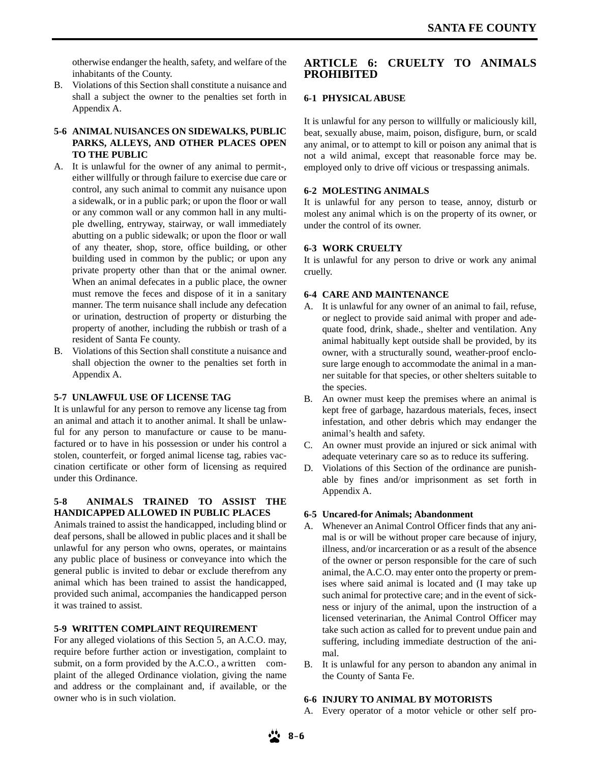otherwise endanger the health, safety, and welfare of the inhabitants of the County.

B. Violations of this Section shall constitute a nuisance and shall a subject the owner to the penalties set forth in Appendix A.

### **5-6 ANIMAL NUISANCES ON SIDEWALKS, PUBLIC PARKS, ALLEYS, AND OTHER PLACES OPEN TO THE PUBLIC**

- A. It is unlawful for the owner of any animal to permit-, either willfully or through failure to exercise due care or control, any such animal to commit any nuisance upon a sidewalk, or in a public park; or upon the floor or wall or any common wall or any common hall in any multiple dwelling, entryway, stairway, or wall immediately abutting on a public sidewalk; or upon the floor or wall of any theater, shop, store, office building, or other building used in common by the public; or upon any private property other than that or the animal owner. When an animal defecates in a public place, the owner must remove the feces and dispose of it in a sanitary manner. The term nuisance shall include any defecation or urination, destruction of property or disturbing the property of another, including the rubbish or trash of a resident of Santa Fe county.
- B. Violations of this Section shall constitute a nuisance and shall objection the owner to the penalties set forth in Appendix A.

### **5-7 UNLAWFUL USE OF LICENSE TAG**

It is unlawful for any person to remove any license tag from an animal and attach it to another animal. It shall be unlawful for any person to manufacture or cause to be manufactured or to have in his possession or under his control a stolen, counterfeit, or forged animal license tag, rabies vaccination certificate or other form of licensing as required under this Ordinance.

### **5-8 ANIMALS TRAINED TO ASSIST THE HANDICAPPED ALLOWED IN PUBLIC PLACES**

Animals trained to assist the handicapped, including blind or deaf persons, shall be allowed in public places and it shall be unlawful for any person who owns, operates, or maintains any public place of business or conveyance into which the general public is invited to debar or exclude therefrom any animal which has been trained to assist the handicapped, provided such animal, accompanies the handicapped person it was trained to assist.

### **5-9 WRITTEN COMPLAINT REQUIREMENT**

For any alleged violations of this Section 5, an A.C.O. may, require before further action or investigation, complaint to submit, on a form provided by the A.C.O., a written complaint of the alleged Ordinance violation, giving the name and address or the complainant and, if available, or the owner who is in such violation.

### **ARTICLE 6: CRUELTY TO ANIMALS PROHIBITED**

### **6-1 PHYSICAL ABUSE**

It is unlawful for any person to willfully or maliciously kill, beat, sexually abuse, maim, poison, disfigure, burn, or scald any animal, or to attempt to kill or poison any animal that is not a wild animal, except that reasonable force may be. employed only to drive off vicious or trespassing animals.

### **6-2 MOLESTING ANIMALS**

It is unlawful for any person to tease, annoy, disturb or molest any animal which is on the property of its owner, or under the control of its owner.

### **6-3 WORK CRUELTY**

It is unlawful for any person to drive or work any animal cruelly.

### **6-4 CARE AND MAINTENANCE**

- A. It is unlawful for any owner of an animal to fail, refuse, or neglect to provide said animal with proper and adequate food, drink, shade., shelter and ventilation. Any animal habitually kept outside shall be provided, by its owner, with a structurally sound, weather-proof enclosure large enough to accommodate the animal in a manner suitable for that species, or other shelters suitable to the species.
- B. An owner must keep the premises where an animal is kept free of garbage, hazardous materials, feces, insect infestation, and other debris which may endanger the animal's health and safety.
- C. An owner must provide an injured or sick animal with adequate veterinary care so as to reduce its suffering.
- D. Violations of this Section of the ordinance are punishable by fines and/or imprisonment as set forth in Appendix A.

### **6-5Uncared-for Animals; Abandonment**

- A. Whenever an Animal Control Officer finds that any animal is or will be without proper care because of injury, illness, and/or incarceration or as a result of the absence of the owner or person responsible for the care of such animal, the A.C.O. may enter onto the property or premises where said animal is located and (I may take up such animal for protective care; and in the event of sickness or injury of the animal, upon the instruction of a licensed veterinarian, the Animal Control Officer may take such action as called for to prevent undue pain and suffering, including immediate destruction of the animal.
- B. It is unlawful for any person to abandon any animal in the County of Santa Fe.

### **6-6 INJURY TO ANIMAL BY MOTORISTS**

A. Every operator of a motor vehicle or other self pro-

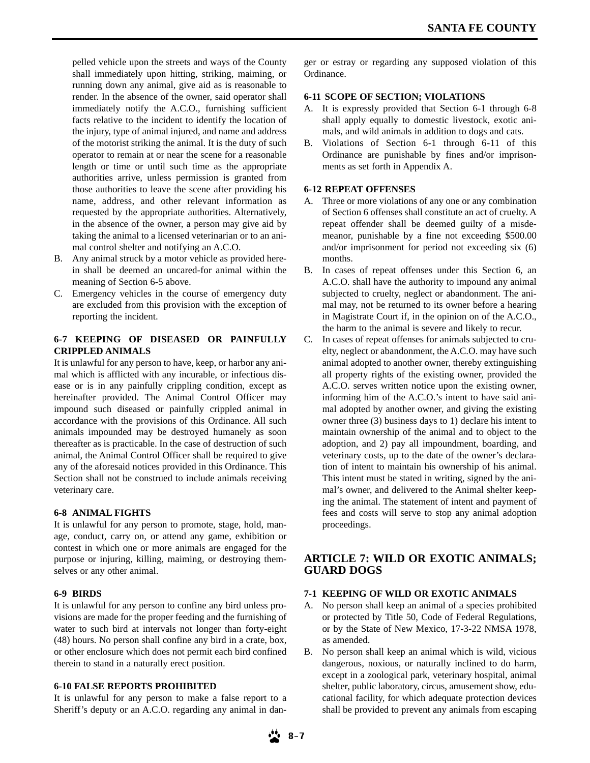pelled vehicle upon the streets and ways of the County shall immediately upon hitting, striking, maiming, or running down any animal, give aid as is reasonable to render. In the absence of the owner, said operator shall immediately notify the A.C.O., furnishing sufficient facts relative to the incident to identify the location of the injury, type of animal injured, and name and address of the motorist striking the animal. It is the duty of such operator to remain at or near the scene for a reasonable length or time or until such time as the appropriate authorities arrive, unless permission is granted from those authorities to leave the scene after providing his name, address, and other relevant information as requested by the appropriate authorities. Alternatively, in the absence of the owner, a person may give aid by taking the animal to a licensed veterinarian or to an animal control shelter and notifying an A.C.O.

- B. Any animal struck by a motor vehicle as provided herein shall be deemed an uncared-for animal within the meaning of Section 6-5 above.
- C. Emergency vehicles in the course of emergency duty are excluded from this provision with the exception of reporting the incident.

### **6-7 KEEPING OF DISEASED OR PAINFULLY CRIPPLED ANIMALS**

It is unlawful for any person to have, keep, or harbor any animal which is afflicted with any incurable, or infectious disease or is in any painfully crippling condition, except as hereinafter provided. The Animal Control Officer may impound such diseased or painfully crippled animal in accordance with the provisions of this Ordinance. All such animals impounded may be destroyed humanely as soon thereafter as is practicable. In the case of destruction of such animal, the Animal Control Officer shall be required to give any of the aforesaid notices provided in this Ordinance. This Section shall not be construed to include animals receiving veterinary care.

### **6-8 ANIMAL FIGHTS**

It is unlawful for any person to promote, stage, hold, manage, conduct, carry on, or attend any game, exhibition or contest in which one or more animals are engaged for the purpose or injuring, killing, maiming, or destroying themselves or any other animal.

### **6-9 BIRDS**

It is unlawful for any person to confine any bird unless provisions are made for the proper feeding and the furnishing of water to such bird at intervals not longer than forty-eight (48) hours. No person shall confine any bird in a crate, box, or other enclosure which does not permit each bird confined therein to stand in a naturally erect position.

### **6-10 FALSE REPORTS PROHIBITED**

It is unlawful for any person to make a false report to a Sheriff's deputy or an A.C.O. regarding any animal in dan-

ger or estray or regarding any supposed violation of this Ordinance.

### **6-11 SCOPE OF SECTION; VIOLATIONS**

- A. It is expressly provided that Section 6-1 through 6-8 shall apply equally to domestic livestock, exotic animals, and wild animals in addition to dogs and cats.
- B. Violations of Section 6-1 through 6-11 of this Ordinance are punishable by fines and/or imprisonments as set forth in Appendix A.

### **6-12 REPEAT OFFENSES**

- A. Three or more violations of any one or any combination of Section 6 offenses shall constitute an act of cruelty. A repeat offender shall be deemed guilty of a misdemeanor, punishable by a fine not exceeding \$500.00 and/or imprisonment for period not exceeding six (6) months.
- B. In cases of repeat offenses under this Section 6, an A.C.O. shall have the authority to impound any animal subjected to cruelty, neglect or abandonment. The animal may, not be returned to its owner before a hearing in Magistrate Court if, in the opinion on of the A.C.O., the harm to the animal is severe and likely to recur.
- C. In cases of repeat offenses for animals subjected to cruelty, neglect or abandonment, the A.C.O. may have such animal adopted to another owner, thereby extinguishing all property rights of the existing owner, provided the A.C.O. serves written notice upon the existing owner, informing him of the A.C.O.'s intent to have said animal adopted by another owner, and giving the existing owner three (3) business days to 1) declare his intent to maintain ownership of the animal and to object to the adoption, and 2) pay all impoundment, boarding, and veterinary costs, up to the date of the owner's declaration of intent to maintain his ownership of his animal. This intent must be stated in writing, signed by the animal's owner, and delivered to the Animal shelter keeping the animal. The statement of intent and payment of fees and costs will serve to stop any animal adoption proceedings.

### **ARTICLE 7: WILD OR EXOTIC ANIMALS; GUARD DOGS**

### **7-1 KEEPING OF WILD OR EXOTIC ANIMALS**

- A. No person shall keep an animal of a species prohibited or protected by Title 50, Code of Federal Regulations, or by the State of New Mexico, 17-3-22 NMSA 1978, as amended.
- B. No person shall keep an animal which is wild, vicious dangerous, noxious, or naturally inclined to do harm, except in a zoological park, veterinary hospital, animal shelter, public laboratory, circus, amusement show, educational facility, for which adequate protection devices shall be provided to prevent any animals from escaping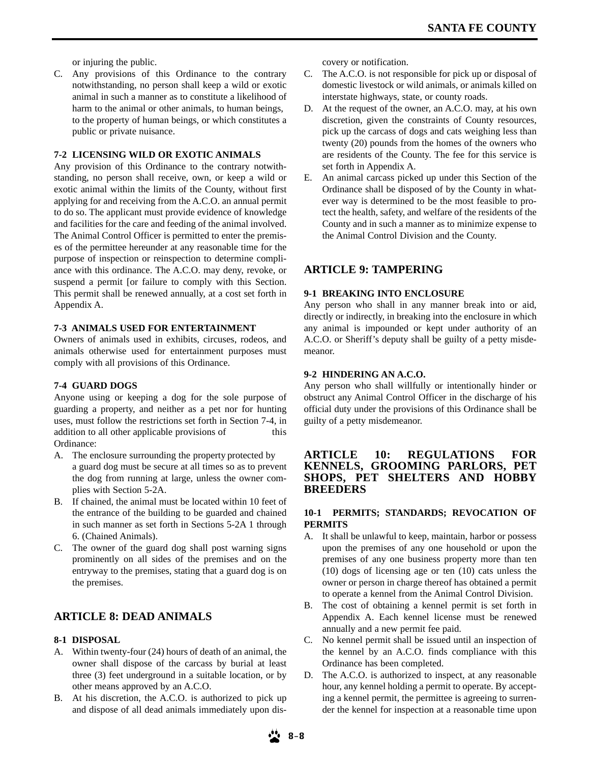or injuring the public.

C. Any provisions of this Ordinance to the contrary notwithstanding, no person shall keep a wild or exotic animal in such a manner as to constitute a likelihood of harm to the animal or other animals, to human beings, to the property of human beings, or which constitutes a public or private nuisance.

### **7-2 LICENSING WILD OR EXOTIC ANIMALS**

Any provision of this Ordinance to the contrary notwithstanding, no person shall receive, own, or keep a wild or exotic animal within the limits of the County, without first applying for and receiving from the A.C.O. an annual permit to do so. The applicant must provide evidence of knowledge and facilities for the care and feeding of the animal involved. The Animal Control Officer is permitted to enter the premises of the permittee hereunder at any reasonable time for the purpose of inspection or reinspection to determine compliance with this ordinance. The A.C.O. may deny, revoke, or suspend a permit [or failure to comply with this Section. This permit shall be renewed annually, at a cost set forth in Appendix A.

#### **7-3 ANIMALS USED FOR ENTERTAINMENT**

Owners of animals used in exhibits, circuses, rodeos, and animals otherwise used for entertainment purposes must comply with all provisions of this Ordinance.

#### **7-4 GUARD DOGS**

Anyone using or keeping a dog for the sole purpose of guarding a property, and neither as a pet nor for hunting uses, must follow the restrictions set forth in Section 7-4, in addition to all other applicable provisions of this Ordinance:

- A. The enclosure surrounding the property protected by a guard dog must be secure at all times so as to prevent the dog from running at large, unless the owner complies with Section 5-2A.
- B. If chained, the animal must be located within 10 feet of the entrance of the building to be guarded and chained in such manner as set forth in Sections 5-2A 1 through 6. (Chained Animals).
- C. The owner of the guard dog shall post warning signs prominently on all sides of the premises and on the entryway to the premises, stating that a guard dog is on the premises.

## **ARTICLE 8: DEAD ANIMALS**

### **8-1 DISPOSAL**

- A. Within twenty-four (24) hours of death of an animal, the owner shall dispose of the carcass by burial at least three (3) feet underground in a suitable location, or by other means approved by an A.C.O.
- B. At his discretion, the A.C.O. is authorized to pick up and dispose of all dead animals immediately upon dis-

covery or notification.

- C. The A.C.O. is not responsible for pick up or disposal of domestic livestock or wild animals, or animals killed on interstate highways, state, or county roads.
- D. At the request of the owner, an A.C.O. may, at his own discretion, given the constraints of County resources, pick up the carcass of dogs and cats weighing less than twenty (20) pounds from the homes of the owners who are residents of the County. The fee for this service is set forth in Appendix A.
- E. An animal carcass picked up under this Section of the Ordinance shall be disposed of by the County in whatever way is determined to be the most feasible to protect the health, safety, and welfare of the residents of the County and in such a manner as to minimize expense to the Animal Control Division and the County.

### **ARTICLE 9: TAMPERING**

#### **9-1 BREAKING INTO ENCLOSURE**

Any person who shall in any manner break into or aid, directly or indirectly, in breaking into the enclosure in which any animal is impounded or kept under authority of an A.C.O. or Sheriff's deputy shall be guilty of a petty misdemeanor.

#### **9-2 HINDERING AN A.C.O.**

Any person who shall willfully or intentionally hinder or obstruct any Animal Control Officer in the discharge of his official duty under the provisions of this Ordinance shall be guilty of a petty misdemeanor.

### **ARTICLE 10: REGULATIONS FOR KENNELS, GROOMING PARLORS, PET SHOPS, PET SHELTERS AND HOBBY BREEDERS**

### **10-1 PERMITS; STANDARDS; REVOCATION OF PERMITS**

- A. It shall be unlawful to keep, maintain, harbor or possess upon the premises of any one household or upon the premises of any one business property more than ten (10) dogs of licensing age or ten (10) cats unless the owner or person in charge thereof has obtained a permit to operate a kennel from the Animal Control Division.
- B. The cost of obtaining a kennel permit is set forth in Appendix A. Each kennel license must be renewed annually and a new permit fee paid.
- C. No kennel permit shall be issued until an inspection of the kennel by an A.C.O. finds compliance with this Ordinance has been completed.
- D. The A.C.O. is authorized to inspect, at any reasonable hour, any kennel holding a permit to operate. By accepting a kennel permit, the permittee is agreeing to surrender the kennel for inspection at a reasonable time upon

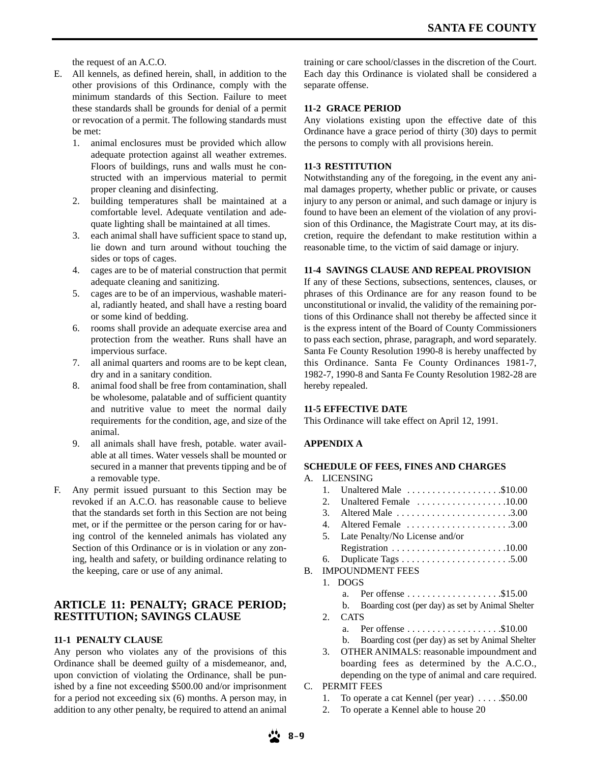the request of an A.C.O.

- E. All kennels, as defined herein, shall, in addition to the other provisions of this Ordinance, comply with the minimum standards of this Section. Failure to meet these standards shall be grounds for denial of a permit or revocation of a permit. The following standards must be met:
	- 1. animal enclosures must be provided which allow adequate protection against all weather extremes. Floors of buildings, runs and walls must he constructed with an impervious material to permit proper cleaning and disinfecting.
	- 2. building temperatures shall be maintained at a comfortable level. Adequate ventilation and adequate lighting shall be maintained at all times.
	- 3. each animal shall have sufficient space to stand up, lie down and turn around without touching the sides or tops of cages.
	- 4. cages are to be of material construction that permit adequate cleaning and sanitizing.
	- 5. cages are to be of an impervious, washable material, radiantly heated, and shall have a resting board or some kind of bedding.
	- 6. rooms shall provide an adequate exercise area and protection from the weather. Runs shall have an impervious surface.
	- 7. all animal quarters and rooms are to be kept clean, dry and in a sanitary condition.
	- 8. animal food shall be free from contamination, shall be wholesome, palatable and of sufficient quantity and nutritive value to meet the normal daily requirements for the condition, age, and size of the animal.
	- 9. all animals shall have fresh, potable. water available at all times. Water vessels shall be mounted or secured in a manner that prevents tipping and be of a removable type.
- F. Any permit issued pursuant to this Section may be revoked if an A.C.O. has reasonable cause to believe that the standards set forth in this Section are not being met, or if the permittee or the person caring for or having control of the kenneled animals has violated any Section of this Ordinance or is in violation or any zoning, health and safety, or building ordinance relating to the keeping, care or use of any animal.

### **ARTICLE 11: PENALTY; GRACE PERIOD; RESTITUTION; SAVINGS CLAUSE**

#### **11-1 PENALTY CLAUSE**

Any person who violates any of the provisions of this Ordinance shall be deemed guilty of a misdemeanor, and, upon conviction of violating the Ordinance, shall be punished by a fine not exceeding \$500.00 and/or imprisonment for a period not exceeding six (6) months. A person may, in addition to any other penalty, be required to attend an animal

training or care school/classes in the discretion of the Court. Each day this Ordinance is violated shall be considered a separate offense.

### **11-2 GRACE PERIOD**

Any violations existing upon the effective date of this Ordinance have a grace period of thirty (30) days to permit the persons to comply with all provisions herein.

#### **11-3 RESTITUTION**

Notwithstanding any of the foregoing, in the event any animal damages property, whether public or private, or causes injury to any person or animal, and such damage or injury is found to have been an element of the violation of any provision of this Ordinance, the Magistrate Court may, at its discretion, require the defendant to make restitution within a reasonable time, to the victim of said damage or injury.

#### **11-4 SAVINGS CLAUSE AND REPEAL PROVISION**

If any of these Sections, subsections, sentences, clauses, or phrases of this Ordinance are for any reason found to be unconstitutional or invalid, the validity of the remaining portions of this Ordinance shall not thereby be affected since it is the express intent of the Board of County Commissioners to pass each section, phrase, paragraph, and word separately. Santa Fe County Resolution 1990-8 is hereby unaffected by this Ordinance. Santa Fe County Ordinances 1981-7, 1982-7, 1990-8 and Santa Fe County Resolution 1982-28 are hereby repealed.

#### **11-5 EFFECTIVE DATE**

This Ordinance will take effect on April 12, 1991.

### **APPENDIX A**

### **SCHEDULE OF FEES, FINES AND CHARGES**

- A. LICENSING
	- 1. Unaltered Male .....................\$10.00
	- 2. Unaltered Female . . . . . . . . . . . . . . . . . .10.00
	- 3. Altered Male . . . . . . . . . . . . . . . . . . . . . . .3.00
	- 4. Altered Female . . . . . . . . . . . . . . . . . . . . .3.00
	- 5. Late Penalty/No License and/or
	- Registration . . . . . . . . . . . . . . . . . . . . . . .10.00 6. Duplicate Tags . . . . . . . . . . . . . . . . . . . . . .5.00
- B. IMPOUNDMENT FEES
	- 1. DOGS
		- a. Per offense . . . . . . . . . . . . . . . . . . \$15.00
		- b. Boarding cost (per day) as set by Animal Shelter
		- 2. CATS
			- a. Per offense . . . . . . . . . . . . . . . . . . .\$10.00
			- b. Boarding cost (per day) as set by Animal Shelter
		- 3. OTHER ANIMALS: reasonable impoundment and boarding fees as determined by the A.C.O., depending on the type of animal and care required.
- C. PERMIT FEES
	- 1. To operate a cat Kennel (per year)  $\dots$  . \$50.00
	- 2. To operate a Kennel able to house 20